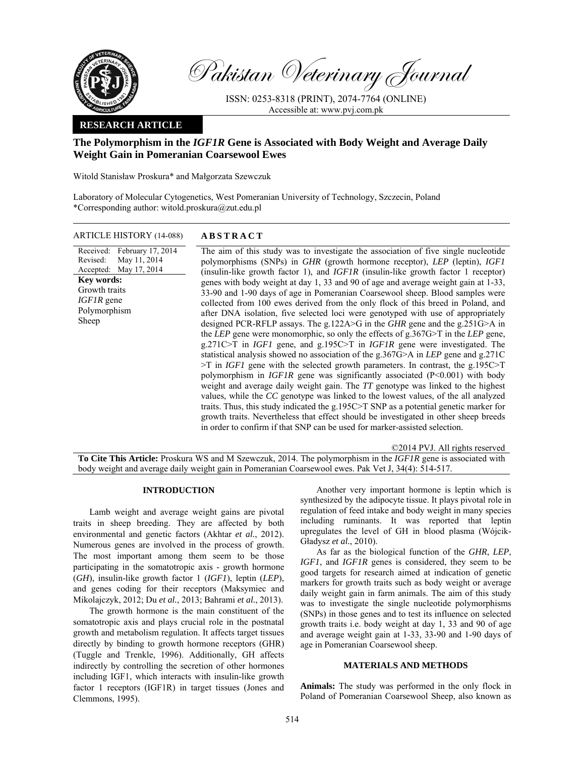

Pakistan Veterinary Journal

ISSN: 0253-8318 (PRINT), 2074-7764 (ONLINE) Accessible at: www.pvj.com.pk

## **RESEARCH ARTICLE**

# **The Polymorphism in the** *IGF1R* **Gene is Associated with Body Weight and Average Daily Weight Gain in Pomeranian Coarsewool Ewes**

Witold Stanisław Proskura\* and Małgorzata Szewczuk

Laboratory of Molecular Cytogenetics, West Pomeranian University of Technology, Szczecin, Poland \*Corresponding author: witold.proskura@zut.edu.pl

ARTICLE HISTORY (14-088) **ABSTRACT** 

Received: February 17, 2014 Revised: Accepted: May 11, 2014 May 17, 2014 The aim of this study was to investigate the association of five single nucleotide polymorphisms (SNPs) in *GHR* (growth hormone receptor), *LEP* (leptin), *IGF1* (insulin-like growth factor 1), and *IGF1R* (insulin-like growth factor 1 receptor) genes with body weight at day 1, 33 and 90 of age and average weight gain at 1-33, 33-90 and 1-90 days of age in Pomeranian Coarsewool sheep. Blood samples were collected from 100 ewes derived from the only flock of this breed in Poland, and after DNA isolation, five selected loci were genotyped with use of appropriately designed PCR-RFLP assays. The g.122A>G in the *GHR* gene and the g.251G>A in the *LEP* gene were monomorphic, so only the effects of g.367G>T in the *LEP* gene, g.271C>T in *IGF1* gene, and g.195C>T in *IGF1R* gene were investigated. The statistical analysis showed no association of the g.367G>A in *LEP* gene and g.271C >T in *IGF1* gene with the selected growth parameters. In contrast, the g.195C>T polymorphism in *IGF1R* gene was significantly associated (P<0.001) with body weight and average daily weight gain. The *TT* genotype was linked to the highest values, while the *CC* genotype was linked to the lowest values, of the all analyzed traits. Thus, this study indicated the g.195C>T SNP as a potential genetic marker for growth traits. Nevertheless that effect should be investigated in other sheep breeds in order to confirm if that SNP can be used for marker-assisted selection. **Key words:**  Growth traits *IGF1R* gene Polymorphism Sheep

©2014 PVJ. All rights reserved **To Cite This Article:** Proskura WS and M Szewczuk, 2014. The polymorphism in the *IGF1R* gene is associated with body weight and average daily weight gain in Pomeranian Coarsewool ewes. Pak Vet J, 34(4): 514-517.

## **INTRODUCTION**

Lamb weight and average weight gains are pivotal traits in sheep breeding. They are affected by both environmental and genetic factors (Akhtar *et al.*, 2012). Numerous genes are involved in the process of growth. The most important among them seem to be those participating in the somatotropic axis - growth hormone (*GH*), insulin-like growth factor 1 (*IGF1*), leptin (*LEP*), and genes coding for their receptors (Maksymiec and Mikolajczyk, 2012; Du *et al.*, 2013; Bahrami *et al.*, 2013).

The growth hormone is the main constituent of the somatotropic axis and plays crucial role in the postnatal growth and metabolism regulation. It affects target tissues directly by binding to growth hormone receptors (GHR) (Tuggle and Trenkle, 1996). Additionally, GH affects indirectly by controlling the secretion of other hormones including IGF1, which interacts with insulin-like growth factor 1 receptors (IGF1R) in target tissues (Jones and Clemmons, 1995).

Another very important hormone is leptin which is synthesized by the adipocyte tissue. It plays pivotal role in regulation of feed intake and body weight in many species including ruminants. It was reported that leptin upregulates the level of GH in blood plasma (Wójcik-Gładysz *et al.*, 2010).

As far as the biological function of the *GHR*, *LEP*, *IGF1*, and *IGF1R* genes is considered, they seem to be good targets for research aimed at indication of genetic markers for growth traits such as body weight or average daily weight gain in farm animals. The aim of this study was to investigate the single nucleotide polymorphisms (SNPs) in those genes and to test its influence on selected growth traits i.e. body weight at day 1, 33 and 90 of age and average weight gain at 1-33, 33-90 and 1-90 days of age in Pomeranian Coarsewool sheep.

## **MATERIALS AND METHODS**

**Animals:** The study was performed in the only flock in Poland of Pomeranian Coarsewool Sheep, also known as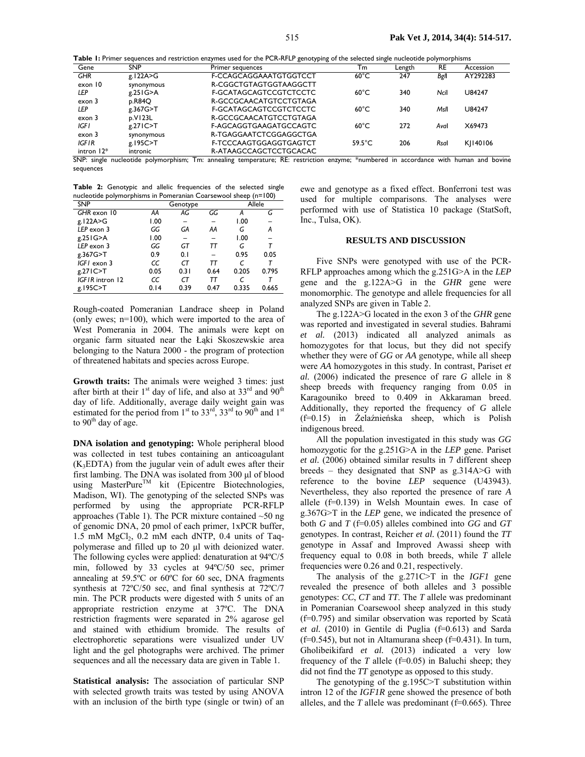**Table 1:** Primer sequences and restriction enzymes used for the PCR-RFLP genotyping of the selected single nucleotide polymorphisms

| Gene              | <b>SNP</b>  | Primer sequences       | - <u>.</u><br>Тm | Length | RE   | Accession |
|-------------------|-------------|------------------------|------------------|--------|------|-----------|
| <b>GHR</b>        | g.122A>G    | F-CCAGCAGGAAATGTGGTCCT | $60^{\circ}$ C   | 247    | Bgll | AY292283  |
| exon 10           | synonymous  | R-CGGCTGTAGTGGTAAGGCTT |                  |        |      |           |
| LEP               | g.251G > A  | F-GCATAGCAGTCCGTCTCCTC | $60^{\circ}$ C   | 340    | Ncil | U84247    |
| exon 3            | p.R84Q      | R-GCCGCAACATGTCCTGTAGA |                  |        |      |           |
| LEP               | g.367G>T    | F-GCATAGCAGTCCGTCTCCTC | $60^{\circ}$ C   | 340    | Msll | U84247    |
| exon 3            | p.VI23L     | R-GCCGCAACATGTCCTGTAGA |                  |        |      |           |
| IGF I             | $g.27$ IC>T | F-AGCAGGTGAAGATGCCAGTC | $60^{\circ}$ C   | 272    | Aval | X69473    |
| exon <sub>3</sub> | synonymous  | R-TGAGGAATCTCGGAGGCTGA |                  |        |      |           |
| IGFIR             | g.195C>T    | F-TCCCAAGTGGAGGTGAGTCT | $59.5^{\circ}$ C | 206    | Rsal | KI140106  |
| intron $12*$      | intronic    | R-ATAAGCCAGCTCCTGCACAC |                  |        |      |           |

SNP: single nucleotide polymorphism; Tm: annealing temperature; RE: restriction enzyme; \*numbered in accordance with human and bovine sequences

**Table 2:** Genotypic and allelic frequencies of the selected single nucleotide polymorphisms in Pomeranian Coarsewool sheep (n=100)

| <b>SNP</b>      |      | Genotype |      |       | Allele |  |  |
|-----------------|------|----------|------|-------|--------|--|--|
| GHR exon 10     | AA   | AG       | GG   | А     | G      |  |  |
| g.122A>G        | 1.00 |          |      | 1.00  |        |  |  |
| LEP exon 3      | GG   | GА       | AA   | G     | А      |  |  |
| g.251G>A        | 1.00 |          |      | 1.00  |        |  |  |
| LEP exon 3      | GG   | GT       | тт   | G     | т      |  |  |
| g.367G>T        | 0.9  | 0.1      |      | 0.95  | 0.05   |  |  |
| IGFI exon 3     | CC   | СT       | тт   |       |        |  |  |
| g.271C>T        | 0.05 | 0.31     | 0.64 | 0.205 | 0.795  |  |  |
| IGFIR intron 12 | CC   | СT       | тт   |       |        |  |  |
| g.195C>T        | 0.14 | 0.39     | 0.47 | 0.335 | 0.665  |  |  |

Rough-coated Pomeranian Landrace sheep in Poland (only ewes; n=100), which were imported to the area of West Pomerania in 2004. The animals were kept on organic farm situated near the Łąki Skoszewskie area belonging to the Natura 2000 - the program of protection of threatened habitats and species across Europe.

**Growth traits:** The animals were weighed 3 times: just after birth at their  $1<sup>st</sup>$  day of life, and also at  $33<sup>rd</sup>$  and  $90<sup>th</sup>$ day of life. Additionally, average daily weight gain was estimated for the period from  $1<sup>st</sup>$  to  $33<sup>rd</sup>$ ,  $33<sup>rd</sup>$  to  $90<sup>th</sup>$  and  $1<sup>st</sup>$ to  $90<sup>th</sup>$  day of age.

**DNA isolation and genotyping:** Whole peripheral blood was collected in test tubes containing an anticoagulant  $(K<sub>3</sub>EDTA)$  from the jugular vein of adult ewes after their first lambing. The DNA was isolated from 300 µl of blood using MasterPure<sup>TM</sup> kit (Epicentre Biotechnologies, Madison, WI). The genotyping of the selected SNPs was performed by using the appropriate PCR-RFLP approaches (Table 1). The PCR mixture contained ~50 ng of genomic DNA, 20 pmol of each primer, 1xPCR buffer, 1.5 mM  $MgCl<sub>2</sub>$ , 0.2 mM each dNTP, 0.4 units of Taqpolymerase and filled up to 20 µl with deionized water. The following cycles were applied: denaturation at 94ºC/5 min, followed by 33 cycles at 94ºC/50 sec, primer annealing at 59.5ºC or 60ºC for 60 sec, DNA fragments synthesis at 72ºC/50 sec, and final synthesis at 72ºC/7 min. The PCR products were digested with 5 units of an appropriate restriction enzyme at 37ºC. The DNA restriction fragments were separated in 2% agarose gel and stained with ethidium bromide. The results of electrophoretic separations were visualized under UV light and the gel photographs were archived. The primer sequences and all the necessary data are given in Table 1.

**Statistical analysis:** The association of particular SNP with selected growth traits was tested by using ANOVA with an inclusion of the birth type (single or twin) of an

ewe and genotype as a fixed effect. Bonferroni test was used for multiple comparisons. The analyses were performed with use of Statistica 10 package (StatSoft, Inc., Tulsa, OK).

### **RESULTS AND DISCUSSION**

Five SNPs were genotyped with use of the PCR-RFLP approaches among which the g.251G>A in the *LEP*  gene and the g.122A>G in the *GHR* gene were monomorphic. The genotype and allele frequencies for all analyzed SNPs are given in Table 2.

The g.122A>G located in the exon 3 of the *GHR* gene was reported and investigated in several studies. Bahrami *et al.* (2013) indicated all analyzed animals as homozygotes for that locus, but they did not specify whether they were of *GG* or *AA* genotype, while all sheep were *AA* homozygotes in this study. In contrast, Pariset *et al.* (2006) indicated the presence of rare *G* allele in 8 sheep breeds with frequency ranging from 0.05 in Karagouniko breed to 0.409 in Akkaraman breed. Additionally, they reported the frequency of *G* allele (f=0.15) in Żelaźnieńska sheep, which is Polish indigenous breed.

All the population investigated in this study was *GG* homozygotic for the g.251G>A in the *LEP* gene. Pariset *et al.* (2006) obtained similar results in 7 different sheep breeds – they designated that SNP as g.314A>G with reference to the bovine *LEP* sequence (U43943). Nevertheless, they also reported the presence of rare *A* allele (f=0.139) in Welsh Mountain ewes. In case of g.367G>T in the *LEP* gene, we indicated the presence of both *G* and *T* (f=0.05) alleles combined into *GG* and *GT* genotypes. In contrast, Reicher *et al.* (2011) found the *TT* genotype in Assaf and Improved Awassi sheep with frequency equal to 0.08 in both breeds, while *T* allele frequencies were 0.26 and 0.21, respectively.

The analysis of the g.271C>T in the *IGF1* gene revealed the presence of both alleles and 3 possible genotypes: *CC*, *CT* and *TT*. The *T* allele was predominant in Pomeranian Coarsewool sheep analyzed in this study (f=0.795) and similar observation was reported by Scatà *et al.* (2010) in Gentile di Puglia (f=0.613) and Sarda  $(f=0.545)$ , but not in Altamurana sheep  $(f=0.431)$ . In turn, Gholibeikifard *et al.* (2013) indicated a very low frequency of the  $T$  allele (f=0.05) in Baluchi sheep; they did not find the *TT* genotype as opposed to this study.

The genotyping of the g.195C>T substitution within intron 12 of the *IGF1R* gene showed the presence of both alleles, and the  $T$  allele was predominant ( $f=0.665$ ). Three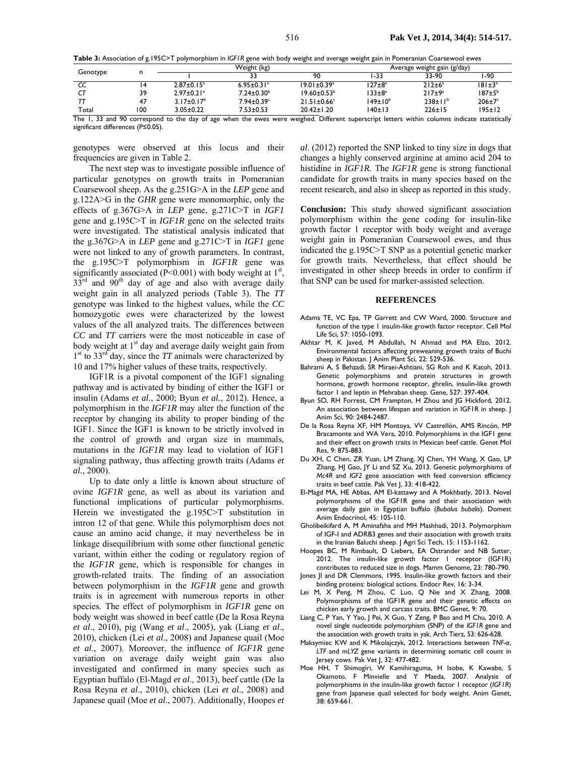**Table 3:** Association of g.195C>T polymorphism in *IGF1R* gene with body weight and average weight gain in Pomeranian Coarsewool ewes

| Genotype |     | Weight (kg)                |                              |                          | Average weight gain (g/day) |                  |               |  |
|----------|-----|----------------------------|------------------------------|--------------------------|-----------------------------|------------------|---------------|--|
|          |     |                            |                              | 90                       | -33                         | 33-90            | -90           |  |
| CC       |     | $2.87 \pm 0.15^a$          | $6.95 \pm 0.31$ <sup>a</sup> | $19.01 \pm 0.39^{\circ}$ | $127 \pm 8^a$               | $212 \pm 6^a$    | $181 \pm 3^a$ |  |
|          | 39  | $2.97 + 0.21$ <sup>a</sup> | $7.24 \pm 0.30^{\circ}$      | $19.60 \pm 0.53^b$       | $133 \pm 8^a$               | 217±9a           | $187 \pm 5^b$ |  |
|          | 47  | $3.17 \pm 0.17^b$          | $7.94 \pm 0.39$ <sup>c</sup> | $21.51 \pm 0.66$ °       | 149±10 <sup>b</sup>         | $238 \pm 11^{b}$ | $206 \pm 7$ ° |  |
| Total    | 100 | $3.05 \pm 0.22$            | $7.53 \pm 0.53$              | $20.42 \pm 1.20$         | 140±13                      | $226 \pm 15$     | $195 \pm 12$  |  |

The 1, 33 and 90 correspond to the day of age when the ewes were weighed. Different superscript letters within columns indicate statistically significant differences (P≤0.05).

genotypes were observed at this locus and their frequencies are given in Table 2.

The next step was to investigate possible influence of particular genotypes on growth traits in Pomeranian Coarsewool sheep. As the g.251G>A in the *LEP* gene and g.122A>G in the *GHR* gene were monomorphic, only the effects of g.367G>A in *LEP* gene, g.271C>T in *IGF1* gene and g.195C>T in *IGF1R* gene on the selected traits were investigated. The statistical analysis indicated that the g.367G>A in *LEP* gene and g.271C>T in *IGF1* gene were not linked to any of growth parameters. In contrast, the g.195C>T polymorphism in *IGF1R* gene was significantly associated ( $P<0.001$ ) with body weight at  $1<sup>st</sup>$ ,  $33<sup>rd</sup>$  and  $90<sup>th</sup>$  day of age and also with average daily weight gain in all analyzed periods (Table 3). The *TT* genotype was linked to the highest values, while the *CC* homozygotic ewes were characterized by the lowest values of the all analyzed traits. The differences between *CC* and *TT* carriers were the most noticeable in case of body weight at  $1<sup>st</sup>$  day and average daily weight gain from 1<sup>st</sup> to 33<sup>rd</sup> day, since the *TT* animals were characterized by 10 and 17% higher values of these traits, respectively.

IGF1R is a pivotal component of the IGF1 signaling pathway and is activated by binding of either the IGF1 or insulin (Adams *et al.*, 2000; Byun *et al.*, 2012). Hence, a polymorphism in the *IGF1R* may alter the function of the receptor by changing its ability to proper binding of the IGF1. Since the IGF1 is known to be strictly involved in the control of growth and organ size in mammals, mutations in the *IGF1R* may lead to violation of IGF1 signaling pathway, thus affecting growth traits (Adams *et al.*, 2000).

Up to date only a little is known about structure of ovine *IGF1R* gene, as well as about its variation and functional implications of particular polymorphisms. Herein we investigated the g.195C>T substitution in intron 12 of that gene. While this polymorphism does not cause an amino acid change, it may nevertheless be in linkage disequilibrium with some other functional genetic variant, within either the coding or regulatory region of the *IGF1R* gene, which is responsible for changes in growth-related traits. The finding of an association between polymorphism in the *IGF1R* gene and growth traits is in agreement with numerous reports in other species. The effect of polymorphism in *IGF1R* gene on body weight was showed in beef cattle (De la Rosa Reyna *et al*., 2010), pig (Wang *et al*., 2005), yak (Liang *et al*., 2010), chicken (Lei *et al*., 2008) and Japanese quail (Moe *et al*., 2007). Moreover, the influence of *IGF1R* gene variation on average daily weight gain was also investigated and confirmed in many species such as Egyptian buffalo (El-Magd *et al*., 2013), beef cattle (De la Rosa Reyna *et al*., 2010), chicken (Lei *et al*., 2008) and Japanese quail (Moe *et al*., 2007). Additionally, Hoopes *et* 

*al*. (2012) reported the SNP linked to tiny size in dogs that changes a highly conserved arginine at amino acid 204 to histidine in *IGF1R*. The *IGF1R* gene is strong functional candidate for growth traits in many species based on the recent research, and also in sheep as reported in this study.

**Conclusion:** This study showed significant association polymorphism within the gene coding for insulin-like growth factor 1 receptor with body weight and average weight gain in Pomeranian Coarsewool ewes, and thus indicated the g.195C>T SNP as a potential genetic marker for growth traits. Nevertheless, that effect should be investigated in other sheep breeds in order to confirm if that SNP can be used for marker-assisted selection.

#### **REFERENCES**

- Adams TE, VC Epa, TP Garrett and CW Ward, 2000. Structure and function of the type 1 insulin-like growth factor receptor. Cell Mol Life Sci, 57: 1050-1093.
- Akhtar M, K Javed, M Abdullah, N Ahmad and MA Elzo, 2012. Environmental factors affecting preweaning growth traits of Buchi sheep in Pakistan. J Anim Plant Sci, 22: 529-536.
- Bahrami A, S Behzadi, SR Miraei-Ashtiani, SG Roh and K Katoh, 2013. Genetic polymorphisms and protein structures in growth hormone, growth hormone receptor, ghrelin, insulin-like growth factor 1 and leptin in Mehraban sheep. Gene, 527: 397-404.
- Byun SO, RH Forrest, CM Frampton, H Zhou and JG Hickford, 2012. An association between lifespan and variation in IGF1R in sheep. | Anim Sci, 90: 2484-2487.
- De la Rosa Reyna XF, HM Montoya, VV Castrellón, AMS Rincón, MP Bracamonte and WA Vera, 2010. Polymorphisms in the IGF1 gene and their effect on growth traits in Mexican beef cattle. Genet Mol Res, 9: 875-883.
- Du XH, C Chen, ZR Yuan, LM Zhang, XJ Chen, YH Wang, X Gao, LP Zhang, HJ Gao, JY Li and SZ Xu, 2013. Genetic polymorphisms of *Mc4R* and *IGF2* gene association with feed conversion efficiency traits in beef cattle. Pak Vet J, 33: 418-422.
- El-Magd MA, HE Abbas, AM El-kattawy and A Mokhbatly, 2013. Novel polymorphisms of the IGF1R gene and their association with average daily gain in Egyptian buffalo (*Bubalus bubalis*). Domest Anim Endocrinol, 45: 105-110.
- Gholibeikifard A, M Aminafsha and MH Mashhadi, 2013. Polymorphism of IGF-I and ADRB3 genes and their association with growth traits in the Iranian Baluchi sheep. J Agri Sci Tech, 15: 1153-1162.
- Hoopes BC, M Rimbault, D Liebers, EA Ostrander and NB Sutter, 2012. The insulin-like growth factor 1 receptor (IGF1R) contributes to reduced size in dogs. Mamm Genome, 23: 780-790.
- Jones JI and DR Clemmons, 1995. Insulin-like growth factors and their binding proteins: biological actions. Endocr Rev, 16: 3-34.
- Lei M, X Peng, M Zhou, C Luo, Q Nie and X Zhang, 2008. Polymorphisms of the IGF1R gene and their genetic effects on chicken early growth and carcass traits. BMC Genet, 9: 70.
- Liang C, P Yan, Y Yao, J Pei, X Guo, Y Zeng, P Bao and M Chu, 2010. A novel single nucleotide polymorphism (SNP) of the *IGF1R* gene and the association with growth traits in yak. Arch Tierz, 53: 626-628.
- Maksymiec KW and K Mikolajczyk, 2012. Interactions between *TNF-α*, *LTF* and *mLYZ* gene variants in determining somatic cell count in Jersey cows. Pak Vet J, 32: 477-482.
- Moe HH, T Shimogiri, W Kamihiraguma, H Isobe, K Kawabe, S Okamoto, F Minvielle and Y Maeda, 2007. Analysis of polymorphisms in the insulin-like growth factor 1 receptor (*IGF1R*) gene from Japanese quail selected for body weight. Anim Genet, 38: 659-661.